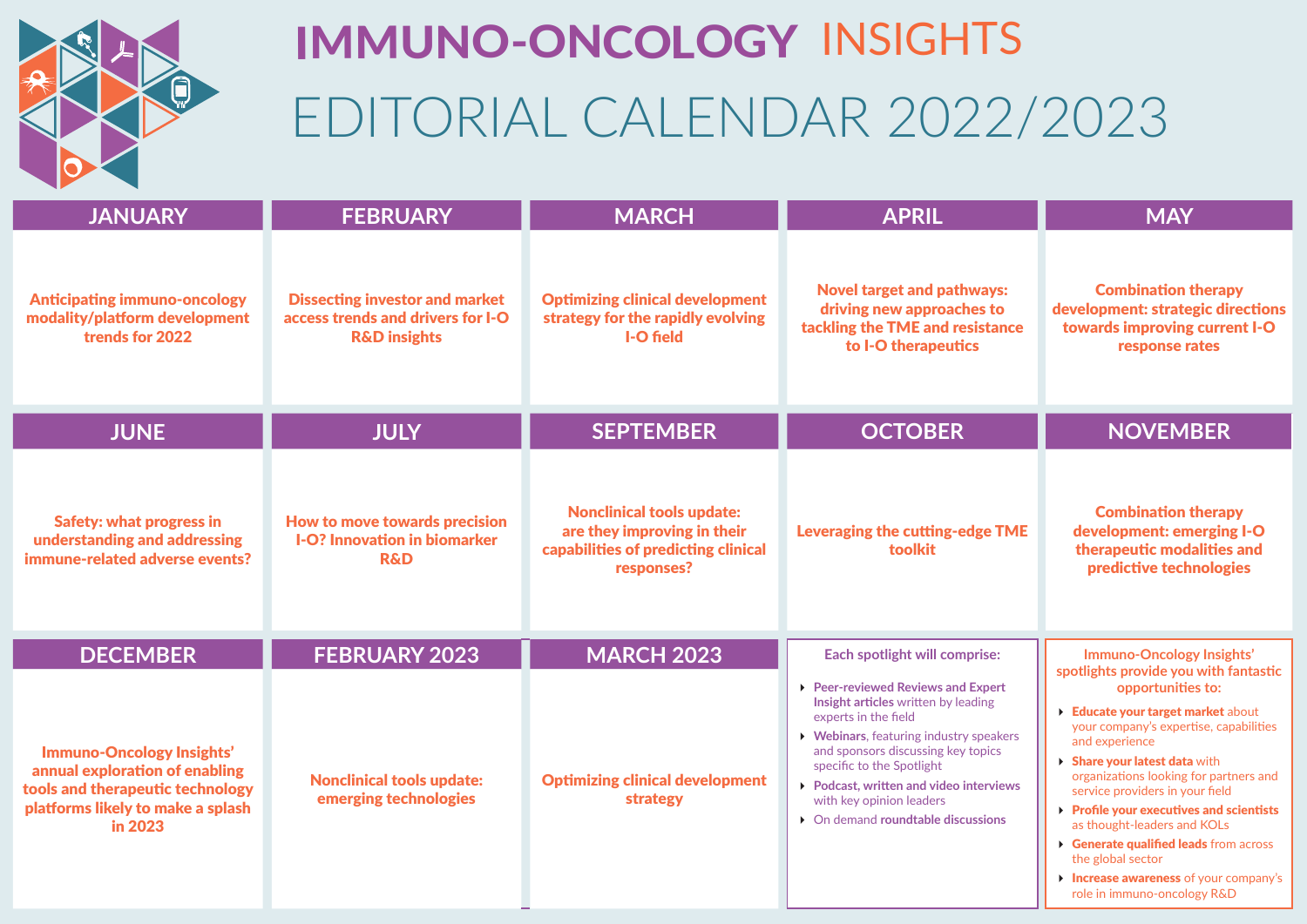

# EDITORIAL CALENDAR 2022/2023 IMMUNO-ONCOLOGY INSIGHTS

| <b>JANUARY</b>                                                                                                                                         | <b>FEBRUARY</b>                                                                                       | <b>MARCH</b>                                                                                                         | <b>APRIL</b>                                                                                                                                                                                                                                                                                                                                | <b>MAY</b>                                                                                                                                                                                                                                                                                                                                                                                                                                 |
|--------------------------------------------------------------------------------------------------------------------------------------------------------|-------------------------------------------------------------------------------------------------------|----------------------------------------------------------------------------------------------------------------------|---------------------------------------------------------------------------------------------------------------------------------------------------------------------------------------------------------------------------------------------------------------------------------------------------------------------------------------------|--------------------------------------------------------------------------------------------------------------------------------------------------------------------------------------------------------------------------------------------------------------------------------------------------------------------------------------------------------------------------------------------------------------------------------------------|
| <b>Anticipating immuno-oncology</b><br>modality/platform development<br>trends for 2022                                                                | <b>Dissecting investor and market</b><br>access trends and drivers for I-O<br><b>R&amp;D</b> insights | <b>Optimizing clinical development</b><br>strategy for the rapidly evolving<br>I-O field                             | <b>Novel target and pathways:</b><br>driving new approaches to<br>tackling the TME and resistance<br>to I-O therapeutics                                                                                                                                                                                                                    | <b>Combination therapy</b><br>development: strategic directions<br>towards improving current I-O<br>response rates                                                                                                                                                                                                                                                                                                                         |
| <b>JUNE</b>                                                                                                                                            | <b>JULY</b>                                                                                           | <b>SEPTEMBER</b>                                                                                                     | <b>OCTOBER</b>                                                                                                                                                                                                                                                                                                                              | <b>NOVEMBER</b>                                                                                                                                                                                                                                                                                                                                                                                                                            |
| <b>Safety: what progress in</b><br>understanding and addressing<br>immune-related adverse events?                                                      | How to move towards precision<br><b>I-O? Innovation in biomarker</b><br><b>R&amp;D</b>                | <b>Nonclinical tools update:</b><br>are they improving in their<br>capabilities of predicting clinical<br>responses? | <b>Leveraging the cutting-edge TME</b><br>toolkit                                                                                                                                                                                                                                                                                           | <b>Combination therapy</b><br>development: emerging I-O<br>therapeutic modalities and<br>predictive technologies                                                                                                                                                                                                                                                                                                                           |
| <b>DECEMBER</b>                                                                                                                                        | FEBRUARY 2023                                                                                         | <b>MARCH 2023</b>                                                                                                    | Each spotlight will comprise:                                                                                                                                                                                                                                                                                                               | Immuno-Oncology Insights'<br>spotlights provide you with fantastic                                                                                                                                                                                                                                                                                                                                                                         |
| <b>Immuno-Oncology Insights'</b><br>annual exploration of enabling<br>tools and therapeutic technology<br>platforms likely to make a splash<br>in 2023 | <b>Nonclinical tools update:</b><br>emerging technologies                                             | <b>Optimizing clinical development</b><br>strategy                                                                   | ▶ Peer-reviewed Reviews and Expert<br>Insight articles written by leading<br>experts in the field<br>▶ Webinars, featuring industry speakers<br>and sponsors discussing key topics<br>specific to the Spotlight<br>▶ Podcast, written and video interviews<br>with key opinion leaders<br>$\triangleright$ On demand roundtable discussions | opportunities to:<br>Educate your target market about<br>your company's expertise, capabilities<br>and experience<br>Share your latest data with<br>organizations looking for partners and<br>service providers in your field<br>Profile your executives and scientists<br>as thought-leaders and KOLs<br>Generate qualified leads from across<br>the global sector<br>Increase awareness of your company's<br>role in immuno-oncology R&D |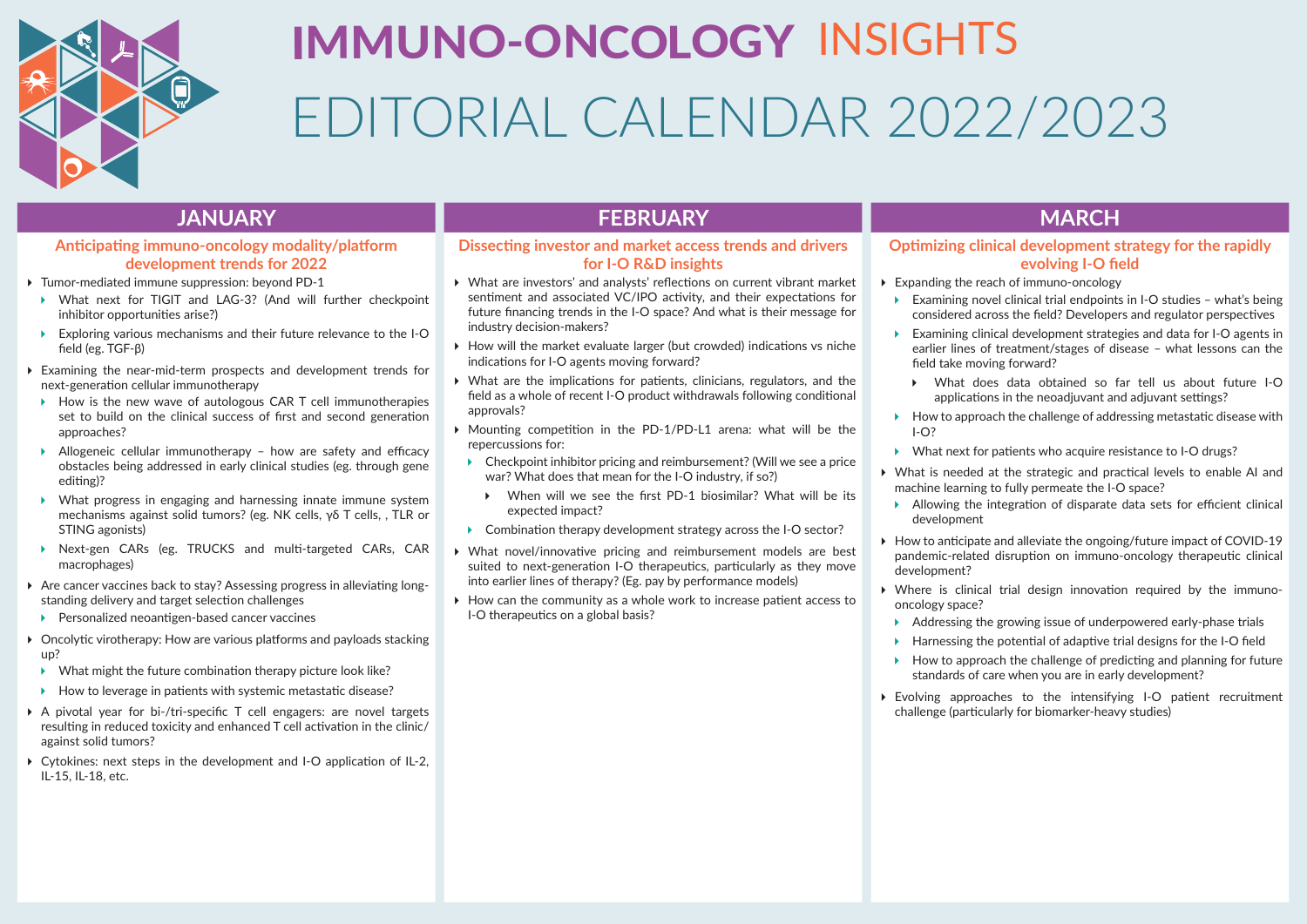

# EDITORIAL CALENDAR 2022/2023 IMMUNO-ONCOLOGY INSIGHTS

# **Anticipating immuno-oncology modality/platform development trends for 2022**

- Tumor-mediated immune suppression: beyond PD-1
- ▶ What next for TIGIT and LAG-3? (And will further checkpoint inhibitor opportunities arise?)
- Exploring various mechanisms and their future relevance to the I-O field (eg. TGF-β)
- Examining the near-mid-term prospects and development trends for next-generation cellular immunotherapy
- $\rightarrow$  How is the new wave of autologous CAR T cell immunotherapies set to build on the clinical success of first and second generation approaches?
- Allogeneic cellular immunotherapy how are safety and efficacy obstacles being addressed in early clinical studies (eg. through gene editing)?
- What progress in engaging and harnessing innate immune system mechanisms against solid tumors? (eg. NK cells, γδ T cells, , TLR or STING agonists)
- Next-gen CARs (eg. TRUCKS and multi-targeted CARs, CAR macrophages)
- Are cancer vaccines back to stay? Assessing progress in alleviating longstanding delivery and target selection challenges
- ▶ Personalized neoantigen-based cancer vaccines
- ▶ Oncolytic virotherapy: How are various platforms and payloads stacking up?
- $\triangleright$  What might the future combination therapy picture look like?
- $\blacktriangleright$  How to leverage in patients with systemic metastatic disease?
- A pivotal year for bi-/tri-specific T cell engagers: are novel targets resulting in reduced toxicity and enhanced T cell activation in the clinic/ against solid tumors?
- Cytokines: next steps in the development and I-O application of IL-2, IL-15, IL-18, etc.

# **JANUARY FEBRUARY MARCH**

# **Dissecting investor and market access trends and drivers for I-O R&D insights**

- What are investors' and analysts' reflections on current vibrant market sentiment and associated VC/IPO activity, and their expectations for future financing trends in the I-O space? And what is their message for industry decision-makers?
- $\triangleright$  How will the market evaluate larger (but crowded) indications vs niche indications for I-O agents moving forward?
- What are the implications for patients, clinicians, regulators, and the field as a whole of recent I-O product withdrawals following conditional approvals?
- Mounting competition in the PD-1/PD-L1 arena: what will be the repercussions for:
- ▶ Checkpoint inhibitor pricing and reimbursement? (Will we see a price war? What does that mean for the I-O industry, if so?)
	- When will we see the first PD-1 biosimilar? What will be its expected impact?
- ▶ Combination therapy development strategy across the I-O sector?
- What novel/innovative pricing and reimbursement models are best suited to next-generation I-O therapeutics, particularly as they move into earlier lines of therapy? (Eg. pay by performance models)
- $\triangleright$  How can the community as a whole work to increase patient access to I-O therapeutics on a global basis?

# **Optimizing clinical development strategy for the rapidly evolving I-O field**

- Expanding the reach of immuno-oncology
	- ▶ Examining novel clinical trial endpoints in I-O studies what's being considered across the field? Developers and regulator perspectives
	- Examining clinical development strategies and data for I-O agents in earlier lines of treatment/stages of disease – what lessons can the field take moving forward?
		- What does data obtained so far tell us about future I-O applications in the neoadjuvant and adjuvant settings?
	- $\blacktriangleright$  How to approach the challenge of addressing metastatic disease with  $I - O<sup>2</sup>$
	- What next for patients who acquire resistance to I-O drugs?
- What is needed at the strategic and practical levels to enable AI and machine learning to fully permeate the I-O space?
- Allowing the integration of disparate data sets for efficient clinical development
- ▶ How to anticipate and alleviate the ongoing/future impact of COVID-19 pandemic-related disruption on immuno-oncology therapeutic clinical development?
- Where is clinical trial design innovation required by the immunooncology space?
- Addressing the growing issue of underpowered early-phase trials
- $\blacktriangleright$  Harnessing the potential of adaptive trial designs for the I-O field
- $\blacktriangleright$  How to approach the challenge of predicting and planning for future standards of care when you are in early development?
- Evolving approaches to the intensifying I-O patient recruitment challenge (particularly for biomarker-heavy studies)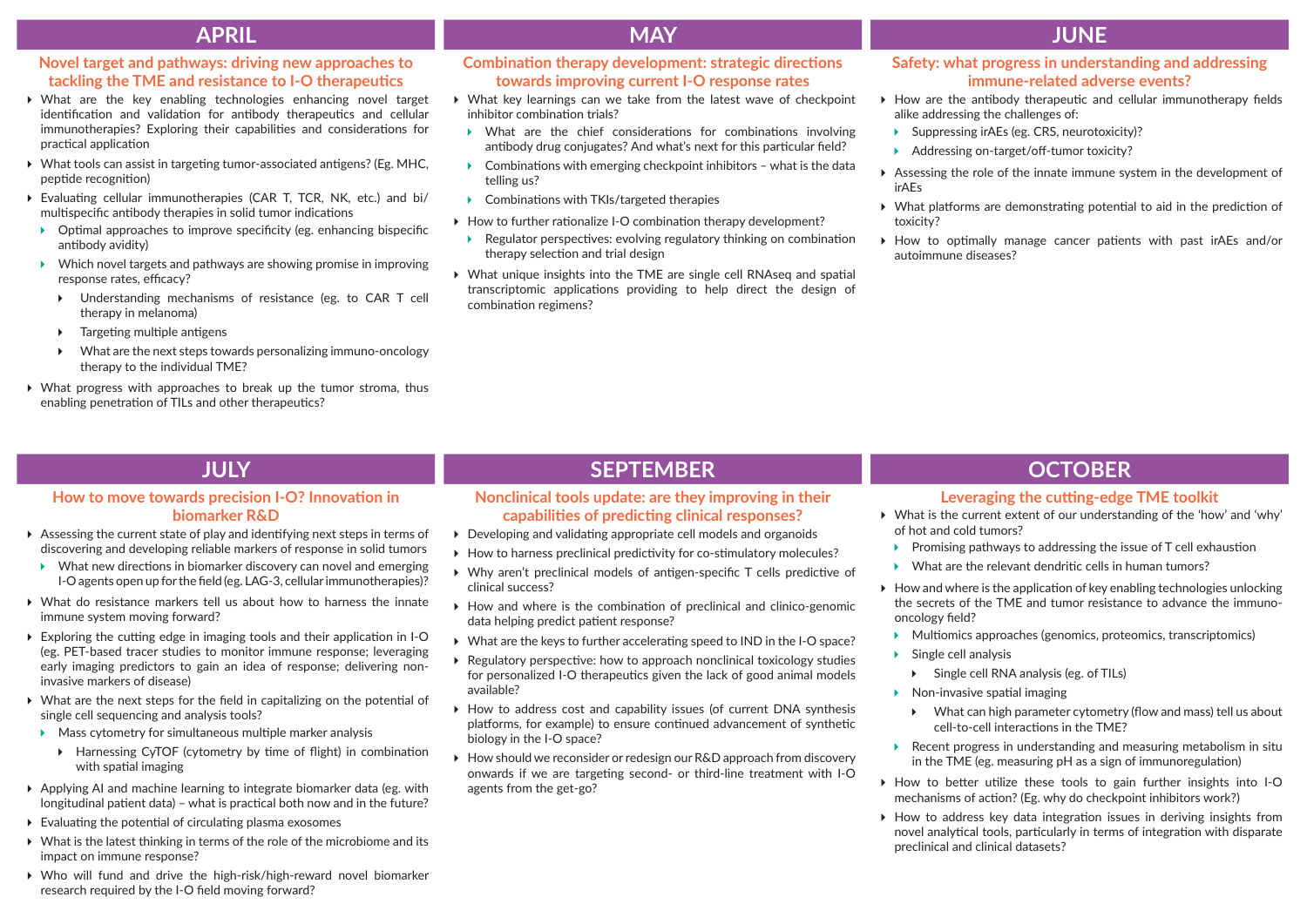# **APRIL MAY JUNE**

# **Novel target and pathways: driving new approaches to tackling the TME and resistance to I-O therapeutics**

- What are the key enabling technologies enhancing novel target identification and validation for antibody therapeutics and cellular immunotherapies? Exploring their capabilities and considerations for practical application
- What tools can assist in targeting tumor-associated antigens? (Eg. MHC, peptide recognition)
- Evaluating cellular immunotherapies (CAR T, TCR, NK, etc.) and bi/ multispecific antibody therapies in solid tumor indications
- $\triangleright$  Optimal approaches to improve specificity (eg. enhancing bispecific antibody avidity)
- $\triangleright$  Which novel targets and pathways are showing promise in improving response rates, efficacy?
	- Understanding mechanisms of resistance (eg. to CAR T cell therapy in melanoma)
	- $\triangleright$  Targeting multiple antigens
	- What are the next steps towards personalizing immuno-oncology therapy to the individual TME?
- What progress with approaches to break up the tumor stroma, thus enabling penetration of TILs and other therapeutics?

# **Combination therapy development: strategic directions towards improving current I-O response rates**

- What key learnings can we take from the latest wave of checkpoint inhibitor combination trials?
- What are the chief considerations for combinations involving antibody drug conjugates? And what's next for this particular field?
- $\triangleright$  Combinations with emerging checkpoint inhibitors what is the data telling us?
- ▶ Combinations with TKIs/targeted therapies
- ▶ How to further rationalize I-O combination therapy development?
- Regulator perspectives: evolving regulatory thinking on combination therapy selection and trial design
- What unique insights into the TME are single cell RNAseq and spatial transcriptomic applications providing to help direct the design of combination regimens?

### **Safety: what progress in understanding and addressing immune-related adverse events?**

- $\blacktriangleright$  How are the antibody therapeutic and cellular immunotherapy fields alike addressing the challenges of:
- ▶ Suppressing irAEs (eg. CRS, neurotoxicity)?
- Addressing on-target/off-tumor toxicity?
- Assessing the role of the innate immune system in the development of irAEs
- What platforms are demonstrating potential to aid in the prediction of toxicity?
- $\triangleright$  How to optimally manage cancer patients with past irAEs and/or autoimmune diseases?

# **How to move towards precision I-O? Innovation in biomarker R&D**

- Assessing the current state of play and identifying next steps in terms of discovering and developing reliable markers of response in solid tumors
- What new directions in biomarker discovery can novel and emerging I-O agents open up for the field (eg. LAG-3, cellular immunotherapies)?
- What do resistance markers tell us about how to harness the innate immune system moving forward?
- Exploring the cutting edge in imaging tools and their application in I-O (eg. PET-based tracer studies to monitor immune response; leveraging early imaging predictors to gain an idea of response; delivering noninvasive markers of disease)
- What are the next steps for the field in capitalizing on the potential of single cell sequencing and analysis tools?
- $\blacktriangleright$  Mass cytometry for simultaneous multiple marker analysis
	- Harnessing CyTOF (cytometry by time of flight) in combination with spatial imaging
- Applying AI and machine learning to integrate biomarker data (eg. with longitudinal patient data) – what is practical both now and in the future?
- $\triangleright$  Evaluating the potential of circulating plasma exosomes
- What is the latest thinking in terms of the role of the microbiome and its impact on immune response?
- Who will fund and drive the high-risk/high-reward novel biomarker research required by the I-O field moving forward?

# **JULY SEPTEMBER OCTOBER**

### **Nonclinical tools update: are they improving in their capabilities of predicting clinical responses?**

- Developing and validating appropriate cell models and organoids
- ▶ How to harness preclinical predictivity for co-stimulatory molecules?
- Why aren't preclinical models of antigen-specific T cells predictive of clinical success?
- $\triangleright$  How and where is the combination of preclinical and clinico-genomic data helping predict patient response?
- What are the keys to further accelerating speed to IND in the I-O space?
- Regulatory perspective: how to approach nonclinical toxicology studies for personalized I-O therapeutics given the lack of good animal models available?
- How to address cost and capability issues (of current DNA synthesis platforms, for example) to ensure continued advancement of synthetic biology in the I-O space?
- ▶ How should we reconsider or redesign our R&D approach from discovery onwards if we are targeting second- or third-line treatment with I-O agents from the get-go?

### **Leveraging the cutting-edge TME toolkit**

- What is the current extent of our understanding of the 'how' and 'why' of hot and cold tumors?
	- $\triangleright$  Promising pathways to addressing the issue of T cell exhaustion
	- What are the relevant dendritic cells in human tumors?
- $\blacktriangleright$  How and where is the application of key enabling technologies unlocking the secrets of the TME and tumor resistance to advance the immunooncology field?
	- Multiomics approaches (genomics, proteomics, transcriptomics)
- $\triangleright$  Single cell analysis
	- Single cell RNA analysis (eg. of TILs)
- $\triangleright$  Non-invasive spatial imaging
	- What can high parameter cytometry (flow and mass) tell us about cell-to-cell interactions in the TME?
- Recent progress in understanding and measuring metabolism in situ in the TME (eg. measuring pH as a sign of immunoregulation)
- How to better utilize these tools to gain further insights into I-O mechanisms of action? (Eg. why do checkpoint inhibitors work?)
- $\triangleright$  How to address key data integration issues in deriving insights from novel analytical tools, particularly in terms of integration with disparate preclinical and clinical datasets?